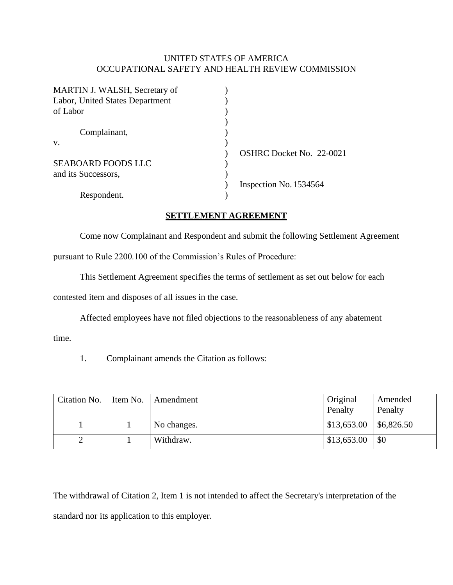## UNITED STATES OF AMERICA OCCUPATIONAL SAFETY AND HEALTH REVIEW COMMISSION

| OSHRC Docket No. 22-0021 |
|--------------------------|
|                          |
|                          |
| Inspection No. 1534564   |
|                          |
|                          |

## **SETTLEMENT AGREEMENT**

Come now Complainant and Respondent and submit the following Settlement Agreement

pursuant to Rule 2200.100 of the Commission's Rules of Procedure:

This Settlement Agreement specifies the terms of settlement as set out below for each

contested item and disposes of all issues in the case.

Affected employees have not filed objections to the reasonableness of any abatement

time.

1. Complainant amends the Citation as follows:

| Citation No. | Item No. | Amendment   | Original<br>Penalty | Amended<br>Penalty |
|--------------|----------|-------------|---------------------|--------------------|
|              |          | No changes. | \$13,653.00         | \$6,826.50         |
|              |          | Withdraw.   | \$13,653.00         | \$0                |

The withdrawal of Citation 2, Item 1 is not intended to affect the Secretary's interpretation of the standard nor its application to this employer.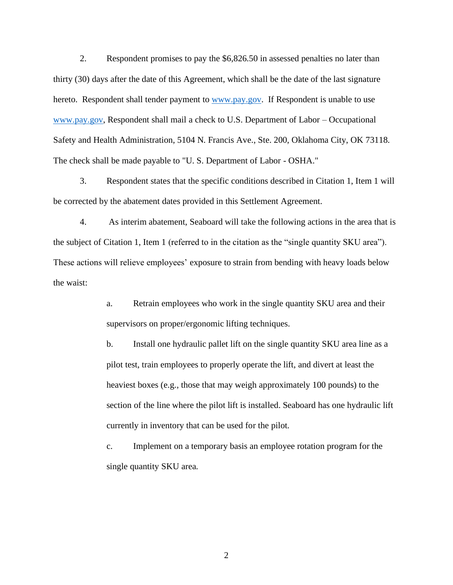2. Respondent promises to pay the \$6,826.50 in assessed penalties no later than thirty (30) days after the date of this Agreement, which shall be the date of the last signature hereto. Respondent shall tender payment to [www.pay.gov.](http://www.pay.gov/) If Respondent is unable to use [www.pay.gov,](http://www.pay.gov/) Respondent shall mail a check to U.S. Department of Labor – Occupational Safety and Health Administration, 5104 N. Francis Ave., Ste. 200, Oklahoma City, OK 73118. The check shall be made payable to "U. S. Department of Labor - OSHA."

3. Respondent states that the specific conditions described in Citation 1, Item 1 will be corrected by the abatement dates provided in this Settlement Agreement.

4. As interim abatement, Seaboard will take the following actions in the area that is the subject of Citation 1, Item 1 (referred to in the citation as the "single quantity SKU area"). These actions will relieve employees' exposure to strain from bending with heavy loads below the waist:

> a. Retrain employees who work in the single quantity SKU area and their supervisors on proper/ergonomic lifting techniques.

b. Install one hydraulic pallet lift on the single quantity SKU area line as a pilot test, train employees to properly operate the lift, and divert at least the heaviest boxes (e.g., those that may weigh approximately 100 pounds) to the section of the line where the pilot lift is installed. Seaboard has one hydraulic lift currently in inventory that can be used for the pilot.

c. Implement on a temporary basis an employee rotation program for the single quantity SKU area.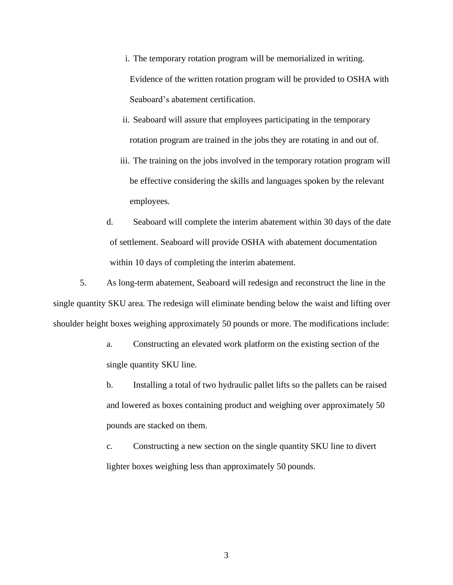- i. The temporary rotation program will be memorialized in writing. Evidence of the written rotation program will be provided to OSHA with Seaboard's abatement certification.
- ii. Seaboard will assure that employees participating in the temporary rotation program are trained in the jobs they are rotating in and out of.
- iii. The training on the jobs involved in the temporary rotation program will be effective considering the skills and languages spoken by the relevant employees.
- d. Seaboard will complete the interim abatement within 30 days of the date of settlement. Seaboard will provide OSHA with abatement documentation within 10 days of completing the interim abatement.

5. As long-term abatement, Seaboard will redesign and reconstruct the line in the single quantity SKU area. The redesign will eliminate bending below the waist and lifting over shoulder height boxes weighing approximately 50 pounds or more. The modifications include:

- a. Constructing an elevated work platform on the existing section of the single quantity SKU line.
- b. Installing a total of two hydraulic pallet lifts so the pallets can be raised and lowered as boxes containing product and weighing over approximately 50 pounds are stacked on them.
- c. Constructing a new section on the single quantity SKU line to divert lighter boxes weighing less than approximately 50 pounds.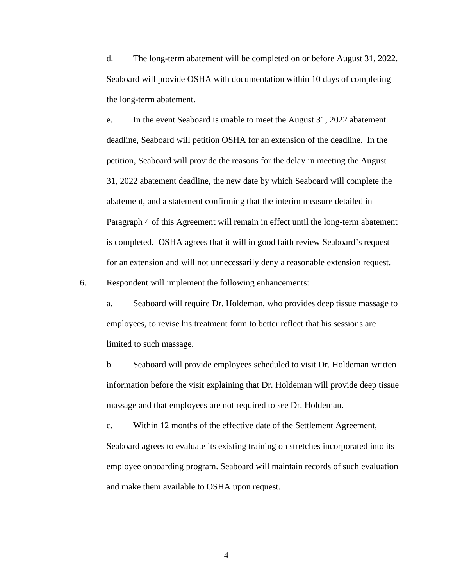d. The long-term abatement will be completed on or before August 31, 2022. Seaboard will provide OSHA with documentation within 10 days of completing the long-term abatement.

e. In the event Seaboard is unable to meet the August 31, 2022 abatement deadline, Seaboard will petition OSHA for an extension of the deadline. In the petition, Seaboard will provide the reasons for the delay in meeting the August 31, 2022 abatement deadline, the new date by which Seaboard will complete the abatement, and a statement confirming that the interim measure detailed in Paragraph 4 of this Agreement will remain in effect until the long-term abatement is completed. OSHA agrees that it will in good faith review Seaboard's request for an extension and will not unnecessarily deny a reasonable extension request.

6. Respondent will implement the following enhancements:

a. Seaboard will require Dr. Holdeman, who provides deep tissue massage to employees, to revise his treatment form to better reflect that his sessions are limited to such massage.

b. Seaboard will provide employees scheduled to visit Dr. Holdeman written information before the visit explaining that Dr. Holdeman will provide deep tissue massage and that employees are not required to see Dr. Holdeman.

c. Within 12 months of the effective date of the Settlement Agreement, Seaboard agrees to evaluate its existing training on stretches incorporated into its employee onboarding program. Seaboard will maintain records of such evaluation and make them available to OSHA upon request.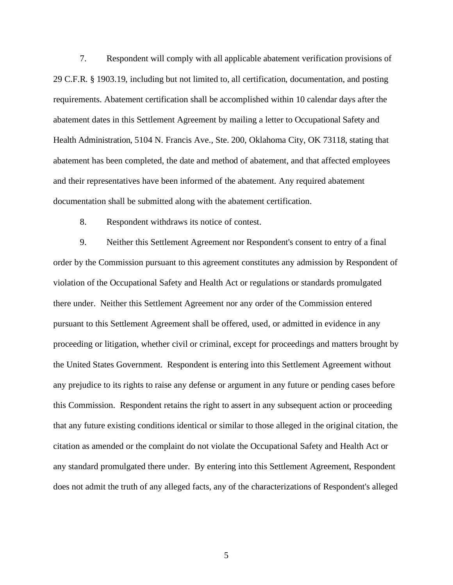7. Respondent will comply with all applicable abatement verification provisions of 29 C.F.R. § 1903.19, including but not limited to, all certification, documentation, and posting requirements. Abatement certification shall be accomplished within 10 calendar days after the abatement dates in this Settlement Agreement by mailing a letter to Occupational Safety and Health Administration, 5104 N. Francis Ave., Ste. 200, Oklahoma City, OK 73118, stating that abatement has been completed, the date and method of abatement, and that affected employees and their representatives have been informed of the abatement. Any required abatement documentation shall be submitted along with the abatement certification.

8. Respondent withdraws its notice of contest.

9. Neither this Settlement Agreement nor Respondent's consent to entry of a final order by the Commission pursuant to this agreement constitutes any admission by Respondent of violation of the Occupational Safety and Health Act or regulations or standards promulgated there under. Neither this Settlement Agreement nor any order of the Commission entered pursuant to this Settlement Agreement shall be offered, used, or admitted in evidence in any proceeding or litigation, whether civil or criminal, except for proceedings and matters brought by the United States Government. Respondent is entering into this Settlement Agreement without any prejudice to its rights to raise any defense or argument in any future or pending cases before this Commission. Respondent retains the right to assert in any subsequent action or proceeding that any future existing conditions identical or similar to those alleged in the original citation, the citation as amended or the complaint do not violate the Occupational Safety and Health Act or any standard promulgated there under. By entering into this Settlement Agreement, Respondent does not admit the truth of any alleged facts, any of the characterizations of Respondent's alleged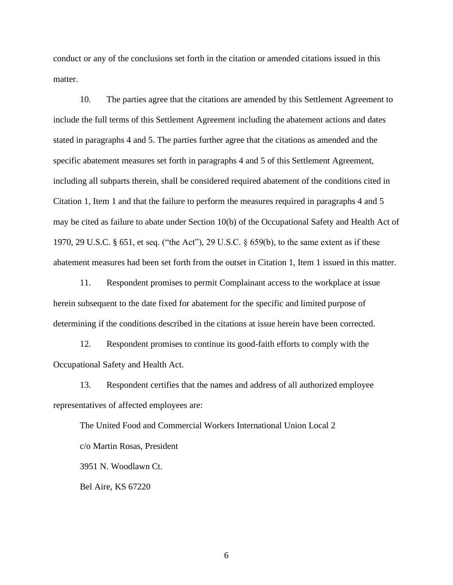conduct or any of the conclusions set forth in the citation or amended citations issued in this matter.

10. The parties agree that the citations are amended by this Settlement Agreement to include the full terms of this Settlement Agreement including the abatement actions and dates stated in paragraphs 4 and 5. The parties further agree that the citations as amended and the specific abatement measures set forth in paragraphs 4 and 5 of this Settlement Agreement, including all subparts therein, shall be considered required abatement of the conditions cited in Citation 1, Item 1 and that the failure to perform the measures required in paragraphs 4 and 5 may be cited as failure to abate under Section 10(b) of the Occupational Safety and Health Act of 1970, 29 U.S.C. § 651, et seq. ("the Act"), 29 U.S.C. § 659(b), to the same extent as if these abatement measures had been set forth from the outset in Citation 1, Item 1 issued in this matter.

11. Respondent promises to permit Complainant access to the workplace at issue herein subsequent to the date fixed for abatement for the specific and limited purpose of determining if the conditions described in the citations at issue herein have been corrected.

12. Respondent promises to continue its good-faith efforts to comply with the Occupational Safety and Health Act.

13. Respondent certifies that the names and address of all authorized employee representatives of affected employees are:

The United Food and Commercial Workers International Union Local 2 c/o Martin Rosas, President 3951 N. Woodlawn Ct.

Bel Aire, KS 67220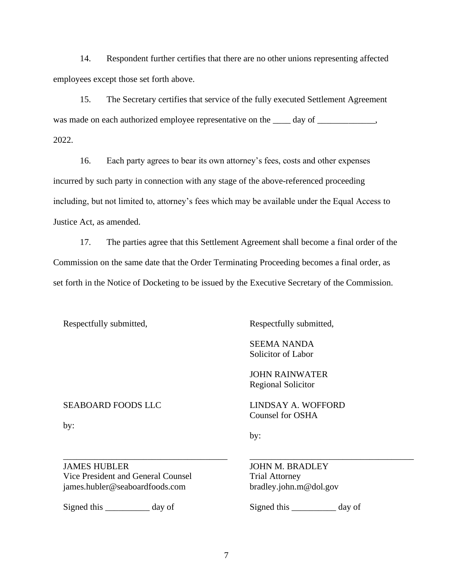14. Respondent further certifies that there are no other unions representing affected employees except those set forth above.

15. The Secretary certifies that service of the fully executed Settlement Agreement was made on each authorized employee representative on the \_\_\_\_ day of \_\_\_\_\_\_\_\_\_\_\_, 2022.

16. Each party agrees to bear its own attorney's fees, costs and other expenses incurred by such party in connection with any stage of the above-referenced proceeding including, but not limited to, attorney's fees which may be available under the Equal Access to Justice Act, as amended.

17. The parties agree that this Settlement Agreement shall become a final order of the Commission on the same date that the Order Terminating Proceeding becomes a final order, as set forth in the Notice of Docketing to be issued by the Executive Secretary of the Commission.

Respectfully submitted,

SEABOARD FOODS LLC

by:

Respectfully submitted,

SEEMA NANDA Solicitor of Labor

JOHN RAINWATER Regional Solicitor

LINDSAY A. WOFFORD Counsel for OSHA

by:

JAMES HUBLER Vice President and General Counsel james.hubler@seaboardfoods.com

\_\_\_\_\_\_\_\_\_\_\_\_\_\_\_\_\_\_\_\_\_\_\_\_\_\_\_\_\_\_\_\_\_\_\_\_\_

Signed this \_\_\_\_\_\_\_\_\_\_ day of

JOHN M. BRADLEY Trial Attorney bradley.john.m@dol.gov

Signed this \_\_\_\_\_\_\_\_\_\_ day of

\_\_\_\_\_\_\_\_\_\_\_\_\_\_\_\_\_\_\_\_\_\_\_\_\_\_\_\_\_\_\_\_\_\_\_\_\_